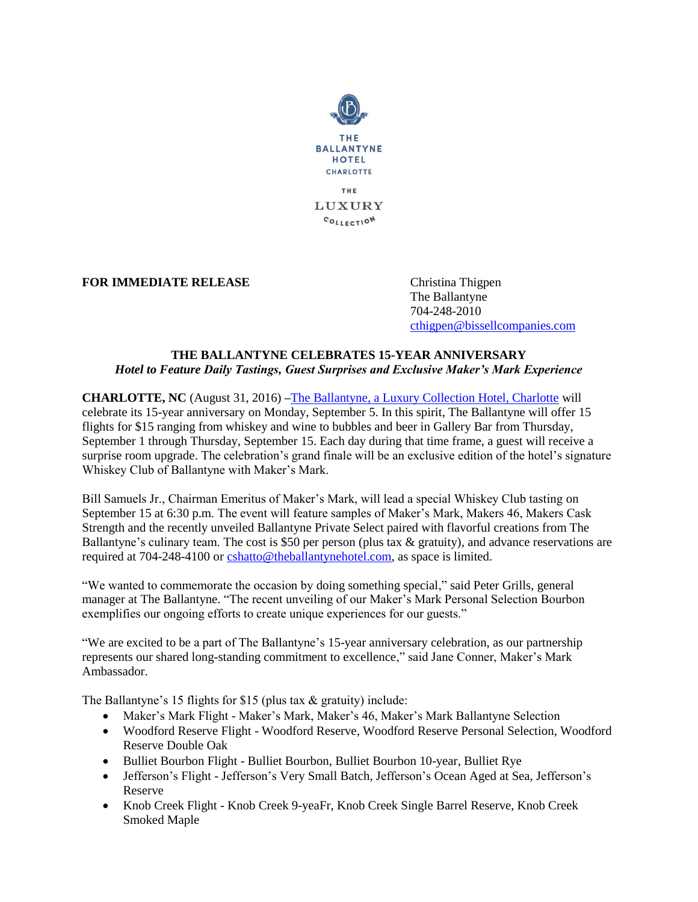

**FOR IMMEDIATE RELEASE** Christina Thigpen

The Ballantyne 704-248-2010 [cthigpen@bissellcompanies.com](mailto:cthigpen@bissellcompanies.com)

## **THE BALLANTYNE CELEBRATES 15-YEAR ANNIVERSARY** *Hotel to Feature Daily Tastings, Guest Surprises and Exclusive Maker's Mark Experience*

**CHARLOTTE, NC** (August 31, 2016) **–**[The Ballantyne, a Luxury Collection Hotel, Charlotte](http://www.theballantynehotel.com/) will celebrate its 15-year anniversary on Monday, September 5. In this spirit, The Ballantyne will offer 15 flights for \$15 ranging from whiskey and wine to bubbles and beer in Gallery Bar from Thursday, September 1 through Thursday, September 15. Each day during that time frame, a guest will receive a surprise room upgrade. The celebration's grand finale will be an exclusive edition of the hotel's signature Whiskey Club of Ballantyne with Maker's Mark.

Bill Samuels Jr., Chairman Emeritus of Maker's Mark, will lead a special Whiskey Club tasting on September 15 at 6:30 p.m. The event will feature samples of Maker's Mark, Makers 46, Makers Cask Strength and the recently unveiled Ballantyne Private Select paired with flavorful creations from The Ballantyne's culinary team. The cost is \$50 per person (plus tax & gratuity), and advance reservations are required at 704-248-4100 or [cshatto@theballantynehotel.com,](mailto:cshatto@theballantynehotel.com) as space is limited.

"We wanted to commemorate the occasion by doing something special," said Peter Grills, general manager at The Ballantyne. "The recent unveiling of our Maker's Mark Personal Selection Bourbon exemplifies our ongoing efforts to create unique experiences for our guests."

"We are excited to be a part of The Ballantyne's 15-year anniversary celebration, as our partnership represents our shared long-standing commitment to excellence," said Jane Conner, Maker's Mark Ambassador.

The Ballantyne's 15 flights for \$15 (plus tax & gratuity) include:

- Maker's Mark Flight Maker's Mark, Maker's 46, Maker's Mark Ballantyne Selection
- Woodford Reserve Flight Woodford Reserve, Woodford Reserve Personal Selection, Woodford Reserve Double Oak
- Bulliet Bourbon Flight Bulliet Bourbon, Bulliet Bourbon 10-year, Bulliet Rye
- Jefferson's Flight Jefferson's Very Small Batch, Jefferson's Ocean Aged at Sea, Jefferson's Reserve
- Knob Creek Flight Knob Creek 9-yeaFr, Knob Creek Single Barrel Reserve, Knob Creek Smoked Maple